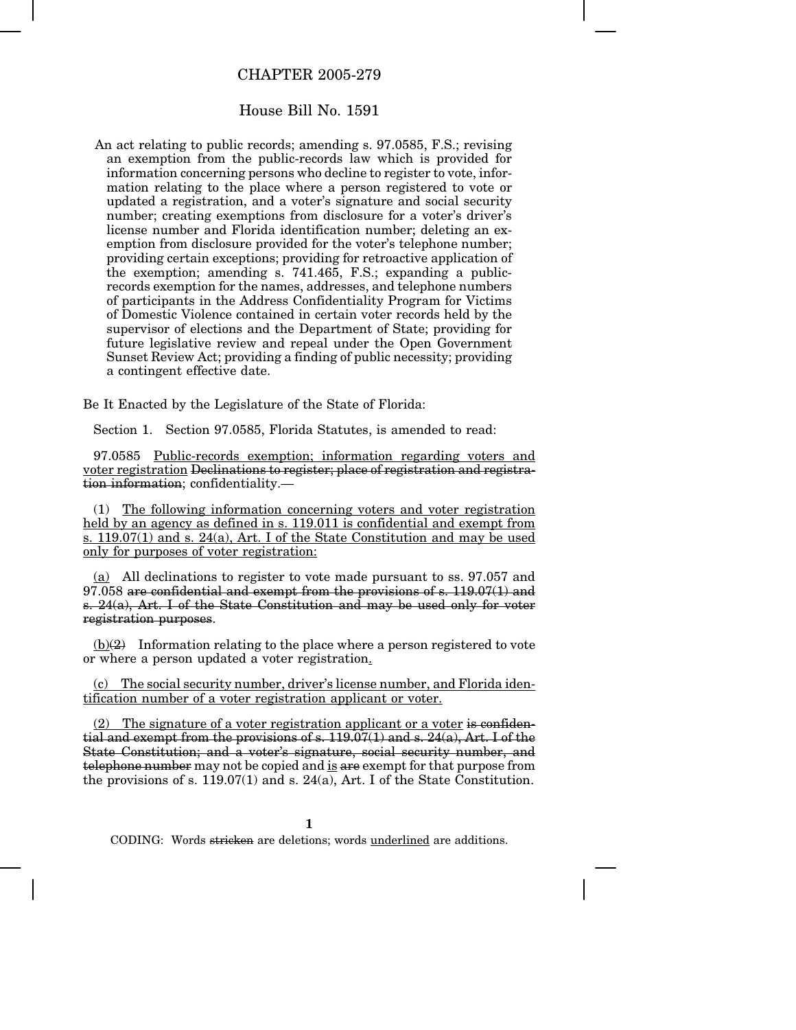## CHAPTER 2005-279

## House Bill No. 1591

An act relating to public records; amending s. 97.0585, F.S.; revising an exemption from the public-records law which is provided for information concerning persons who decline to register to vote, information relating to the place where a person registered to vote or updated a registration, and a voter's signature and social security number; creating exemptions from disclosure for a voter's driver's license number and Florida identification number; deleting an exemption from disclosure provided for the voter's telephone number; providing certain exceptions; providing for retroactive application of the exemption; amending s. 741.465, F.S.; expanding a publicrecords exemption for the names, addresses, and telephone numbers of participants in the Address Confidentiality Program for Victims of Domestic Violence contained in certain voter records held by the supervisor of elections and the Department of State; providing for future legislative review and repeal under the Open Government Sunset Review Act; providing a finding of public necessity; providing a contingent effective date.

Be It Enacted by the Legislature of the State of Florida:

Section 1. Section 97.0585, Florida Statutes, is amended to read:

97.0585 Public-records exemption; information regarding voters and voter registration Declinations to register; place of registration and registration information; confidentiality.—

(1) The following information concerning voters and voter registration held by an agency as defined in s. 119.011 is confidential and exempt from s. 119.07(1) and s. 24(a), Art. I of the State Constitution and may be used only for purposes of voter registration:

(a) All declinations to register to vote made pursuant to ss. 97.057 and  $97.058$  are confidential and exempt from the provisions of s.  $119.07(1)$  and s. 24(a), Art. I of the State Constitution and may be used only for voter registration purposes.

 $(b)(2)$  Information relating to the place where a person registered to vote or where a person updated a voter registration.

(c) The social security number, driver's license number, and Florida identification number of a voter registration applicant or voter.

(2) The signature of a voter registration applicant or a voter is confidential and exempt from the provisions of s. 119.07(1) and s. 24(a), Art. I of the State Constitution; and a voter's signature, social security number, and telephone number may not be copied and is are exempt for that purpose from the provisions of s. 119.07(1) and s. 24(a), Art. I of the State Constitution.

CODING: Words stricken are deletions; words underlined are additions.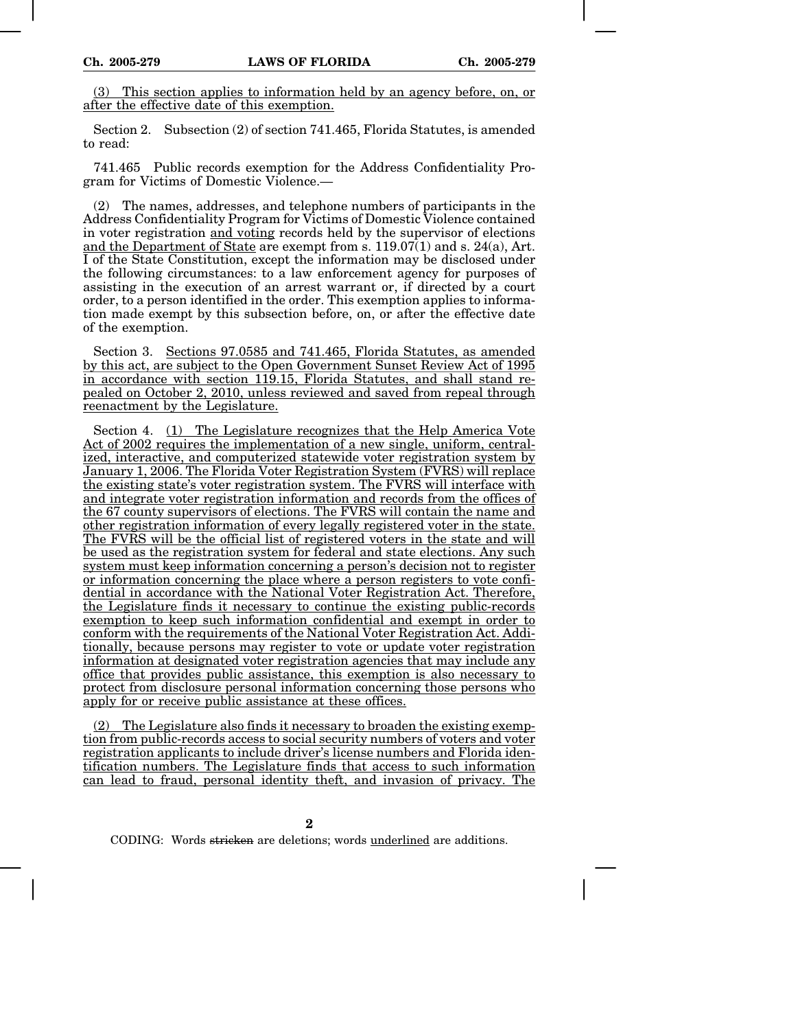(3) This section applies to information held by an agency before, on, or after the effective date of this exemption.

Section 2. Subsection (2) of section 741.465, Florida Statutes, is amended to read:

741.465 Public records exemption for the Address Confidentiality Program for Victims of Domestic Violence.—

(2) The names, addresses, and telephone numbers of participants in the Address Confidentiality Program for Victims of Domestic Violence contained in voter registration and voting records held by the supervisor of elections and the Department of State are exempt from s. 119.07(1) and s. 24(a), Art. I of the State Constitution, except the information may be disclosed under the following circumstances: to a law enforcement agency for purposes of assisting in the execution of an arrest warrant or, if directed by a court order, to a person identified in the order. This exemption applies to information made exempt by this subsection before, on, or after the effective date of the exemption.

Section 3. Sections 97.0585 and 741.465, Florida Statutes, as amended by this act, are subject to the Open Government Sunset Review Act of 1995 in accordance with section 119.15, Florida Statutes, and shall stand repealed on October 2, 2010, unless reviewed and saved from repeal through reenactment by the Legislature.

Section 4. (1) The Legislature recognizes that the Help America Vote Act of 2002 requires the implementation of a new single, uniform, centralized, interactive, and computerized statewide voter registration system by January 1, 2006. The Florida Voter Registration System (FVRS) will replace the existing state's voter registration system. The FVRS will interface with and integrate voter registration information and records from the offices of the 67 county supervisors of elections. The FVRS will contain the name and other registration information of every legally registered voter in the state. The FVRS will be the official list of registered voters in the state and will be used as the registration system for federal and state elections. Any such system must keep information concerning a person's decision not to register or information concerning the place where a person registers to vote confidential in accordance with the National Voter Registration Act. Therefore, the Legislature finds it necessary to continue the existing public-records exemption to keep such information confidential and exempt in order to conform with the requirements of the National Voter Registration Act. Additionally, because persons may register to vote or update voter registration information at designated voter registration agencies that may include any office that provides public assistance, this exemption is also necessary to protect from disclosure personal information concerning those persons who apply for or receive public assistance at these offices.

(2) The Legislature also finds it necessary to broaden the existing exemption from public-records access to social security numbers of voters and voter registration applicants to include driver's license numbers and Florida identification numbers. The Legislature finds that access to such information can lead to fraud, personal identity theft, and invasion of privacy. The

**2**

CODING: Words stricken are deletions; words underlined are additions.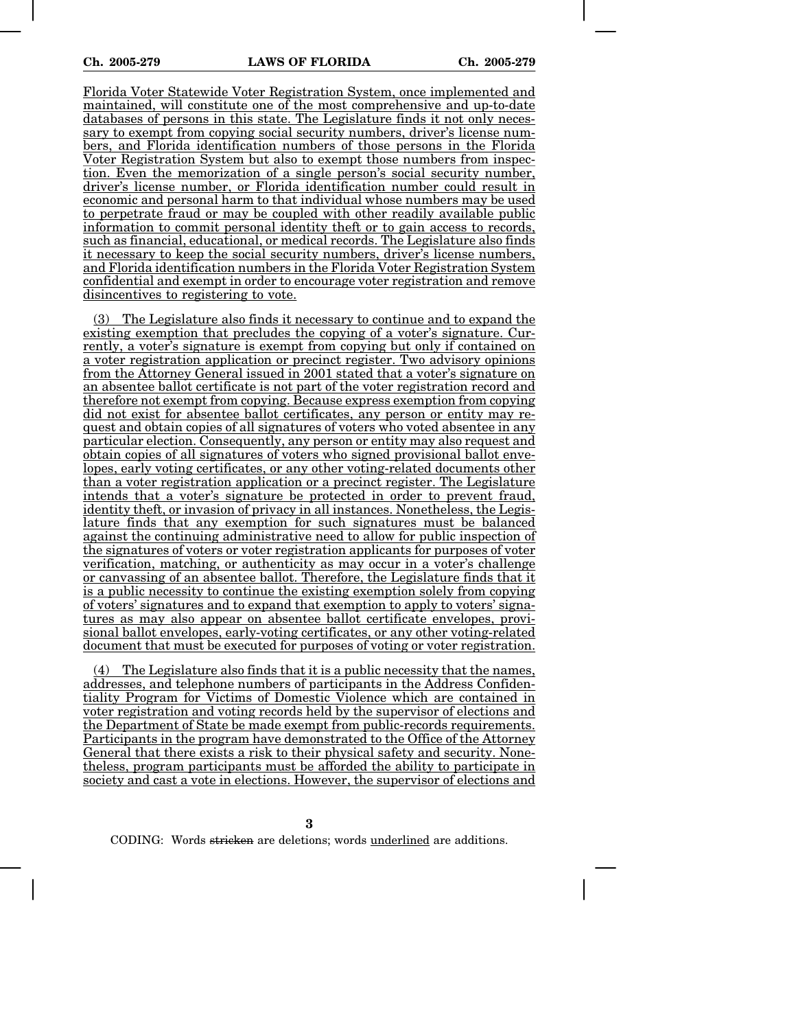Florida Voter Statewide Voter Registration System, once implemented and maintained, will constitute one of the most comprehensive and up-to-date databases of persons in this state. The Legislature finds it not only necessary to exempt from copying social security numbers, driver's license numbers, and Florida identification numbers of those persons in the Florida Voter Registration System but also to exempt those numbers from inspection. Even the memorization of a single person's social security number, driver's license number, or Florida identification number could result in economic and personal harm to that individual whose numbers may be used to perpetrate fraud or may be coupled with other readily available public information to commit personal identity theft or to gain access to records, such as financial, educational, or medical records. The Legislature also finds it necessary to keep the social security numbers, driver's license numbers, and Florida identification numbers in the Florida Voter Registration System confidential and exempt in order to encourage voter registration and remove disincentives to registering to vote.

The Legislature also finds it necessary to continue and to expand the existing exemption that precludes the copying of a voter's signature. Currently, a voter's signature is exempt from copying but only if contained on a voter registration application or precinct register. Two advisory opinions from the Attorney General issued in 2001 stated that a voter's signature on an absentee ballot certificate is not part of the voter registration record and therefore not exempt from copying. Because express exemption from copying did not exist for absentee ballot certificates, any person or entity may request and obtain copies of all signatures of voters who voted absentee in any particular election. Consequently, any person or entity may also request and obtain copies of all signatures of voters who signed provisional ballot envelopes, early voting certificates, or any other voting-related documents other than a voter registration application or a precinct register. The Legislature intends that a voter's signature be protected in order to prevent fraud, identity theft, or invasion of privacy in all instances. Nonetheless, the Legislature finds that any exemption for such signatures must be balanced against the continuing administrative need to allow for public inspection of the signatures of voters or voter registration applicants for purposes of voter verification, matching, or authenticity as may occur in a voter's challenge or canvassing of an absentee ballot. Therefore, the Legislature finds that it is a public necessity to continue the existing exemption solely from copying of voters' signatures and to expand that exemption to apply to voters' signatures as may also appear on absentee ballot certificate envelopes, provisional ballot envelopes, early-voting certificates, or any other voting-related document that must be executed for purposes of voting or voter registration.

(4) The Legislature also finds that it is a public necessity that the names, addresses, and telephone numbers of participants in the Address Confidentiality Program for Victims of Domestic Violence which are contained in voter registration and voting records held by the supervisor of elections and the Department of State be made exempt from public-records requirements. Participants in the program have demonstrated to the Office of the Attorney General that there exists a risk to their physical safety and security. Nonetheless, program participants must be afforded the ability to participate in society and cast a vote in elections. However, the supervisor of elections and

**3**

CODING: Words stricken are deletions; words underlined are additions.